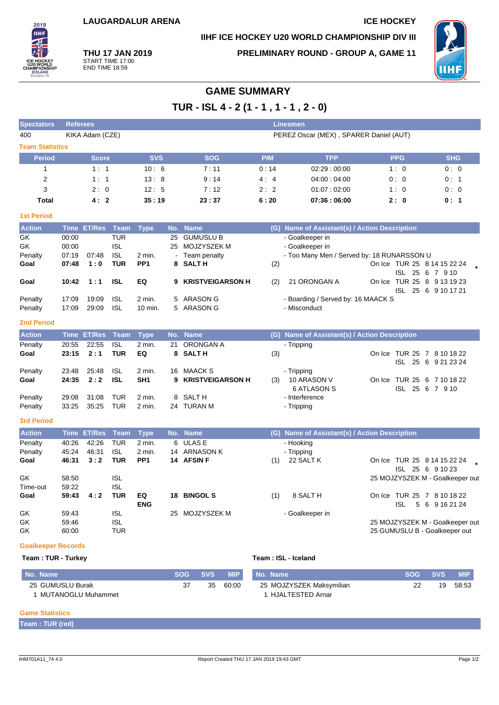# **IIHF ICE HOCKEY U20 WORLD CHAMPIONSHIP DIV III**



**THU 17 JAN 2019** START TIME 17:00 END TIME 18:59

**PRELIMINARY ROUND - GROUP A, GAME 11**



# **GAME SUMMARY**

**TUR - ISL 4 - 2 (1 - 1 , 1 - 1 , 2 - 0)**

| <b>Spectators</b>                       | <b>Referees</b><br><b>Linesmen</b> |                    |                                                      |                           |    |                                                               |            |                                                                                  |  |                  |                                                                  |
|-----------------------------------------|------------------------------------|--------------------|------------------------------------------------------|---------------------------|----|---------------------------------------------------------------|------------|----------------------------------------------------------------------------------|--|------------------|------------------------------------------------------------------|
| 400                                     |                                    | KIKA Adam (CZE)    |                                                      |                           |    |                                                               |            | PEREZ Oscar (MEX), SPARER Daniel (AUT)                                           |  |                  |                                                                  |
| <b>Team Statistics</b>                  |                                    |                    |                                                      |                           |    |                                                               |            |                                                                                  |  |                  |                                                                  |
| <b>Period</b>                           |                                    | <b>Score</b>       |                                                      | <b>SVS</b>                |    | <b>SOG</b>                                                    | <b>PIM</b> | <b>TPP</b>                                                                       |  | <b>PPG</b>       | <b>SHG</b>                                                       |
| 1                                       |                                    | 1:1                |                                                      | 10:6                      |    | 7:11                                                          | 0:14       | 02:29:00:00                                                                      |  | 1:0              | 0:0                                                              |
| $\overline{2}$                          |                                    | 1:1                |                                                      | 13:8                      |    | 9:14                                                          | 4:4        | 04:00:04:00                                                                      |  | 0:0              | 0:1                                                              |
| 3                                       |                                    | 2:0                |                                                      | 12:5                      |    | 7:12                                                          | 2:2        | 01:07:02:00                                                                      |  | 1:0              | 0:0                                                              |
| <b>Total</b>                            |                                    | 4:2                |                                                      | 35:19                     |    | 23:37                                                         | 6:20       | 07:36:06:00                                                                      |  | 2:0              | 0: 1                                                             |
| <b>1st Period</b>                       |                                    |                    |                                                      |                           |    |                                                               |            |                                                                                  |  |                  |                                                                  |
| <b>Action</b>                           |                                    | Time ET/Res Team   |                                                      | <b>Type</b>               |    | No. Name                                                      |            | (G) Name of Assistant(s) / Action Description                                    |  |                  |                                                                  |
| GK<br>GK<br>Penalty<br>Goal             | 00:00<br>00:00<br>07:19<br>07:48   | 07:48<br>1:0       | <b>TUR</b><br><b>ISL</b><br><b>ISL</b><br><b>TUR</b> | 2 min.<br>PP <sub>1</sub> | 25 | <b>GUMUSLU B</b><br>25 MOJZYSZEK M<br>Team penalty<br>8 SALTH | (2)        | - Goalkeeper in<br>- Goalkeeper in<br>- Too Many Men / Served by: 18 RUNARSSON U |  | ISL 25 6 7 9 10  | On Ice TUR 25 8 14 15 22 24                                      |
| Goal                                    | 10:42                              | 1:1                | <b>ISL</b>                                           | EQ                        | 9  | <b>KRISTVEIGARSON H</b>                                       | (2)        | 21 ORONGAN A                                                                     |  |                  | On Ice TUR 25 8 9 13 19 23                                       |
| Penalty<br>Penalty<br><b>2nd Period</b> | 17:09<br>17:09                     | 19:09<br>29:09     | <b>ISL</b><br><b>ISL</b>                             | 2 min.<br>10 min.         | 5  | 5 ARASON G<br><b>ARASON G</b>                                 |            | - Boarding / Served by: 16 MAACK S<br>- Misconduct                               |  |                  | ISL 25 6 9 10 17 21                                              |
| <b>Action</b>                           |                                    | <b>Time ET/Res</b> | <b>Team</b>                                          | <b>Type</b>               |    | No. Name                                                      |            | (G) Name of Assistant(s) / Action Description                                    |  |                  |                                                                  |
| Penalty                                 | 20:55                              | 22:55              | <b>ISL</b>                                           | 2 min.                    | 21 | ORONGAN A                                                     |            | - Tripping                                                                       |  |                  |                                                                  |
| Goal                                    | 23:15                              | 2:1                | <b>TUR</b>                                           | EQ                        |    | 8 SALTH                                                       | (3)        |                                                                                  |  |                  | On Ice TUR 25 7 8 10 18 22<br>ISL 25 6 9 21 23 24                |
| Penalty<br>Goal                         | 23:48<br>24:35                     | 25:48<br>2:2       | <b>ISL</b><br><b>ISL</b>                             | 2 min.<br>SH <sub>1</sub> | 16 | <b>MAACK S</b><br>9 KRISTVEIGARSON H                          | (3)        | - Tripping<br>10 ARASON V<br><b>6 ATLASON S</b>                                  |  | ISL 25 6 7 9 10  | On Ice TUR 25 6 7 10 18 22                                       |
| Penalty                                 | 29:08                              | 31:08              | <b>TUR</b>                                           | 2 min.                    | 8  | SALT H                                                        |            | - Interference                                                                   |  |                  |                                                                  |
| Penalty                                 | 33:25                              | 35:25              | <b>TUR</b>                                           | 2 min.                    |    | 24 TURAN M                                                    |            | - Tripping                                                                       |  |                  |                                                                  |
| <b>3rd Period</b>                       |                                    |                    |                                                      |                           |    |                                                               |            |                                                                                  |  |                  |                                                                  |
| <b>Action</b>                           | <b>Time</b>                        | <b>ET/Res</b>      | <b>Team</b>                                          | <b>Type</b>               |    | No. Name                                                      | (G)        | Name of Assistant(s) / Action Description                                        |  |                  |                                                                  |
| Penalty                                 | 40:26                              | 42:26              | <b>TUR</b>                                           | 2 min.                    |    | 6 ULAS E                                                      |            | - Hooking                                                                        |  |                  |                                                                  |
| Penalty                                 | 45:24                              | 46:31              | <b>ISL</b>                                           | $2$ min.                  | 14 | <b>ARNASON K</b>                                              |            | - Tripping                                                                       |  |                  |                                                                  |
| Goal                                    | 46:31                              | 3:2                | <b>TUR</b>                                           | PP <sub>1</sub>           |    | 14 AFSIN F                                                    | (1)        | 22 SALT K                                                                        |  | ISL 25 6 9 10 23 | On Ice TUR 25 8 14 15 22 24                                      |
| GK<br>Time-out                          | 58:50<br>59:22                     |                    | <b>ISL</b><br><b>ISL</b>                             |                           |    |                                                               |            |                                                                                  |  |                  | 25 MOJZYSZEK M - Goalkeeper out                                  |
| Goal                                    | 59:43                              | 4:2                | <b>TUR</b>                                           | EQ<br><b>ENG</b>          |    | 18 BINGOL S                                                   | (1)        | 8 SALT H                                                                         |  | <b>ISL</b>       | On Ice TUR 25 7 8 10 18 22<br>5 6 9 16 21 24                     |
| GK<br>GK<br>GK                          | 59:43<br>59:46<br>60:00            |                    | <b>ISL</b><br><b>ISL</b><br><b>TUR</b>               |                           |    | 25 MOJZYSZEK M                                                |            | - Goalkeeper in                                                                  |  |                  | 25 MOJZYSZEK M - Goalkeeper out<br>25 GUMUSLU B - Goalkeeper out |
| <b>Goalkeeper Records</b>               |                                    |                    |                                                      |                           |    |                                                               |            |                                                                                  |  |                  |                                                                  |

## **Team : TUR - Turkey Team : ISL - Iceland**

| Mo. Name           | <b>SOG</b> | SVS <b>SVS</b> | <b>MIP</b> | I No. Name               | <b>SOG</b> | ' SVS. | <b>MIP</b> |
|--------------------|------------|----------------|------------|--------------------------|------------|--------|------------|
| 25 GUMUSLU Burak   |            | 35             | 60:00      | 25 MOJZYSZEK Maksymilian |            | 19     | 58:53      |
| MUTANOGLU Muhammet |            |                |            | ∣ HJALTESTED Arnar       |            |        |            |

### **Game Statistics**

**Team : TUR (red)**